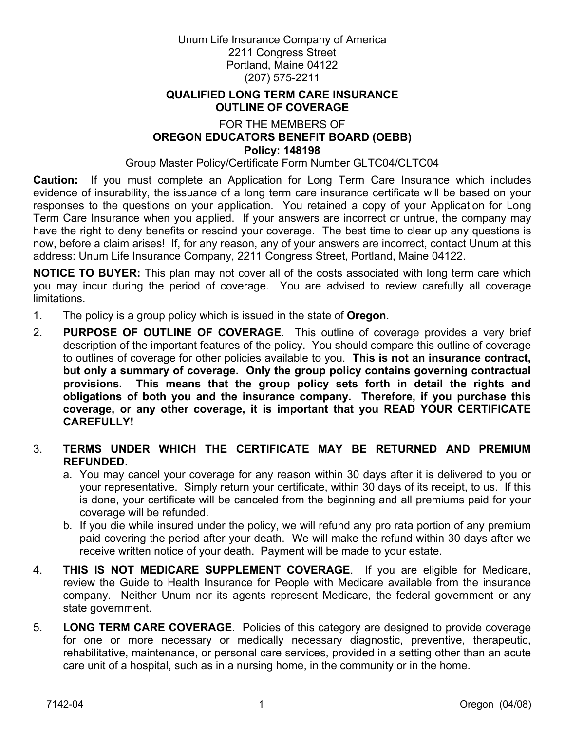Unum Life Insurance Company of America 2211 Congress Street Portland, Maine 04122 (207) 575-2211

#### **QUALIFIED LONG TERM CARE INSURANCE OUTLINE OF COVERAGE**

#### FOR THE MEMBERS OF **OREGON EDUCATORS BENEFIT BOARD (OEBB) Policy: 148198**

Group Master Policy/Certificate Form Number GLTC04/CLTC04

**Caution:** If you must complete an Application for Long Term Care Insurance which includes evidence of insurability, the issuance of a long term care insurance certificate will be based on your responses to the questions on your application. You retained a copy of your Application for Long Term Care Insurance when you applied. If your answers are incorrect or untrue, the company may have the right to deny benefits or rescind your coverage. The best time to clear up any questions is now, before a claim arises! If, for any reason, any of your answers are incorrect, contact Unum at this address: Unum Life Insurance Company, 2211 Congress Street, Portland, Maine 04122.

**NOTICE TO BUYER:** This plan may not cover all of the costs associated with long term care which you may incur during the period of coverage. You are advised to review carefully all coverage limitations.

- 1. The policy is a group policy which is issued in the state of **Oregon**.
- 2. **PURPOSE OF OUTLINE OF COVERAGE**. This outline of coverage provides a very brief description of the important features of the policy. You should compare this outline of coverage to outlines of coverage for other policies available to you. **This is not an insurance contract, but only a summary of coverage. Only the group policy contains governing contractual provisions. This means that the group policy sets forth in detail the rights and obligations of both you and the insurance company. Therefore, if you purchase this coverage, or any other coverage, it is important that you READ YOUR CERTIFICATE CAREFULLY!**
- 3. **TERMS UNDER WHICH THE CERTIFICATE MAY BE RETURNED AND PREMIUM REFUNDED**.
	- a. You may cancel your coverage for any reason within 30 days after it is delivered to you or your representative. Simply return your certificate, within 30 days of its receipt, to us. If this is done, your certificate will be canceled from the beginning and all premiums paid for your coverage will be refunded.
	- b. If you die while insured under the policy, we will refund any pro rata portion of any premium paid covering the period after your death. We will make the refund within 30 days after we receive written notice of your death. Payment will be made to your estate.
- 4. **THIS IS NOT MEDICARE SUPPLEMENT COVERAGE**. If you are eligible for Medicare, review the Guide to Health Insurance for People with Medicare available from the insurance company. Neither Unum nor its agents represent Medicare, the federal government or any state government.
- 5. **LONG TERM CARE COVERAGE**. Policies of this category are designed to provide coverage for one or more necessary or medically necessary diagnostic, preventive, therapeutic, rehabilitative, maintenance, or personal care services, provided in a setting other than an acute care unit of a hospital, such as in a nursing home, in the community or in the home.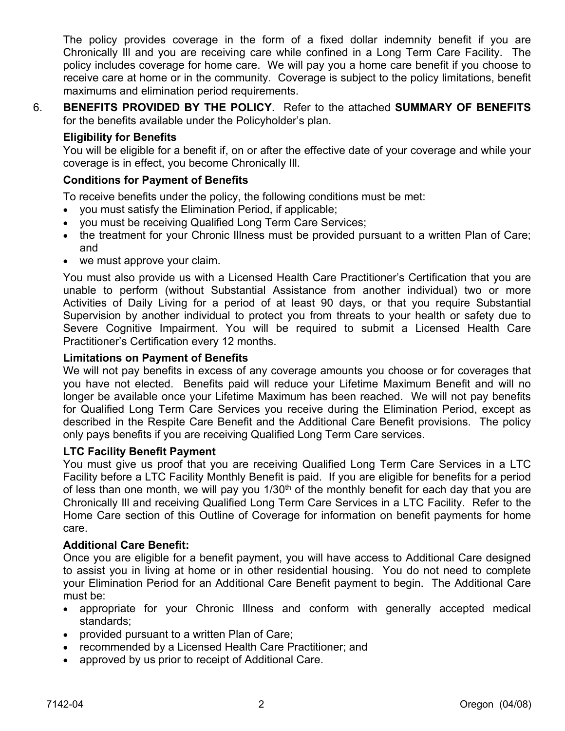The policy provides coverage in the form of a fixed dollar indemnity benefit if you are Chronically Ill and you are receiving care while confined in a Long Term Care Facility. The policy includes coverage for home care. We will pay you a home care benefit if you choose to receive care at home or in the community. Coverage is subject to the policy limitations, benefit maximums and elimination period requirements.

6. **BENEFITS PROVIDED BY THE POLICY**. Refer to the attached **SUMMARY OF BENEFITS** for the benefits available under the Policyholder's plan.

#### **Eligibility for Benefits**

You will be eligible for a benefit if, on or after the effective date of your coverage and while your coverage is in effect, you become Chronically Ill.

#### **Conditions for Payment of Benefits**

To receive benefits under the policy, the following conditions must be met:

- you must satisfy the Elimination Period, if applicable;
- you must be receiving Qualified Long Term Care Services;
- the treatment for your Chronic Illness must be provided pursuant to a written Plan of Care; and
- we must approve your claim.

You must also provide us with a Licensed Health Care Practitioner's Certification that you are unable to perform (without Substantial Assistance from another individual) two or more Activities of Daily Living for a period of at least 90 days, or that you require Substantial Supervision by another individual to protect you from threats to your health or safety due to Severe Cognitive Impairment. You will be required to submit a Licensed Health Care Practitioner's Certification every 12 months.

#### **Limitations on Payment of Benefits**

We will not pay benefits in excess of any coverage amounts you choose or for coverages that you have not elected. Benefits paid will reduce your Lifetime Maximum Benefit and will no longer be available once your Lifetime Maximum has been reached. We will not pay benefits for Qualified Long Term Care Services you receive during the Elimination Period, except as described in the Respite Care Benefit and the Additional Care Benefit provisions. The policy only pays benefits if you are receiving Qualified Long Term Care services.

## **LTC Facility Benefit Payment**

You must give us proof that you are receiving Qualified Long Term Care Services in a LTC Facility before a LTC Facility Monthly Benefit is paid. If you are eligible for benefits for a period of less than one month, we will pay you  $1/30<sup>th</sup>$  of the monthly benefit for each day that you are Chronically Ill and receiving Qualified Long Term Care Services in a LTC Facility. Refer to the Home Care section of this Outline of Coverage for information on benefit payments for home care.

#### **Additional Care Benefit:**

Once you are eligible for a benefit payment, you will have access to Additional Care designed to assist you in living at home or in other residential housing. You do not need to complete your Elimination Period for an Additional Care Benefit payment to begin. The Additional Care must be:

- appropriate for your Chronic Illness and conform with generally accepted medical standards;
- provided pursuant to a written Plan of Care;
- recommended by a Licensed Health Care Practitioner; and
- approved by us prior to receipt of Additional Care.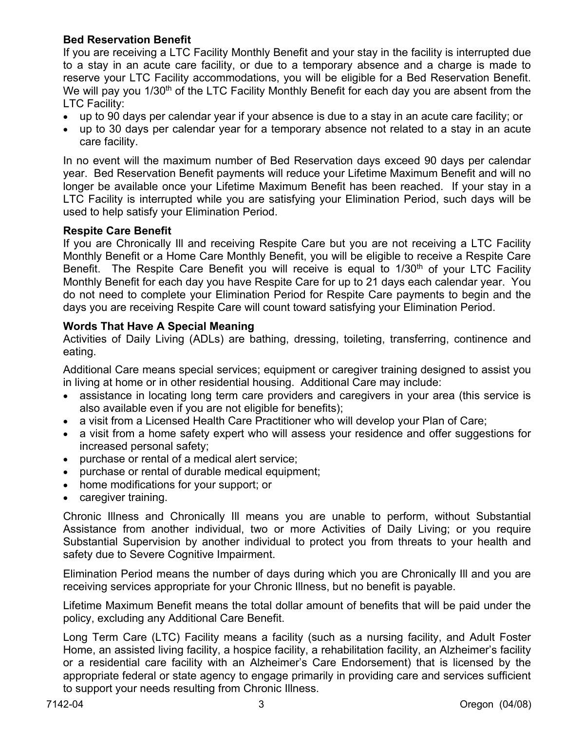## **Bed Reservation Benefit**

If you are receiving a LTC Facility Monthly Benefit and your stay in the facility is interrupted due to a stay in an acute care facility, or due to a temporary absence and a charge is made to reserve your LTC Facility accommodations, you will be eligible for a Bed Reservation Benefit. We will pay you 1/30<sup>th</sup> of the LTC Facility Monthly Benefit for each day you are absent from the LTC Facility:

- up to 90 days per calendar year if your absence is due to a stay in an acute care facility; or
- up to 30 days per calendar year for a temporary absence not related to a stay in an acute care facility.

In no event will the maximum number of Bed Reservation days exceed 90 days per calendar year. Bed Reservation Benefit payments will reduce your Lifetime Maximum Benefit and will no longer be available once your Lifetime Maximum Benefit has been reached. If your stay in a LTC Facility is interrupted while you are satisfying your Elimination Period, such days will be used to help satisfy your Elimination Period.

## **Respite Care Benefit**

If you are Chronically Ill and receiving Respite Care but you are not receiving a LTC Facility Monthly Benefit or a Home Care Monthly Benefit, you will be eligible to receive a Respite Care Benefit. The Respite Care Benefit you will receive is equal to 1/30<sup>th</sup> of your LTC Facility Monthly Benefit for each day you have Respite Care for up to 21 days each calendar year. You do not need to complete your Elimination Period for Respite Care payments to begin and the days you are receiving Respite Care will count toward satisfying your Elimination Period.

#### **Words That Have A Special Meaning**

Activities of Daily Living (ADLs) are bathing, dressing, toileting, transferring, continence and eating.

Additional Care means special services; equipment or caregiver training designed to assist you in living at home or in other residential housing. Additional Care may include:

- assistance in locating long term care providers and caregivers in your area (this service is also available even if you are not eligible for benefits);
- a visit from a Licensed Health Care Practitioner who will develop your Plan of Care;
- a visit from a home safety expert who will assess your residence and offer suggestions for increased personal safety;
- purchase or rental of a medical alert service;
- purchase or rental of durable medical equipment;
- home modifications for your support; or
- caregiver training.

Chronic Illness and Chronically Ill means you are unable to perform, without Substantial Assistance from another individual, two or more Activities of Daily Living; or you require Substantial Supervision by another individual to protect you from threats to your health and safety due to Severe Cognitive Impairment.

Elimination Period means the number of days during which you are Chronically Ill and you are receiving services appropriate for your Chronic Illness, but no benefit is payable.

Lifetime Maximum Benefit means the total dollar amount of benefits that will be paid under the policy, excluding any Additional Care Benefit.

Long Term Care (LTC) Facility means a facility (such as a nursing facility, and Adult Foster Home, an assisted living facility, a hospice facility, a rehabilitation facility, an Alzheimer's facility or a residential care facility with an Alzheimer's Care Endorsement) that is licensed by the appropriate federal or state agency to engage primarily in providing care and services sufficient to support your needs resulting from Chronic Illness.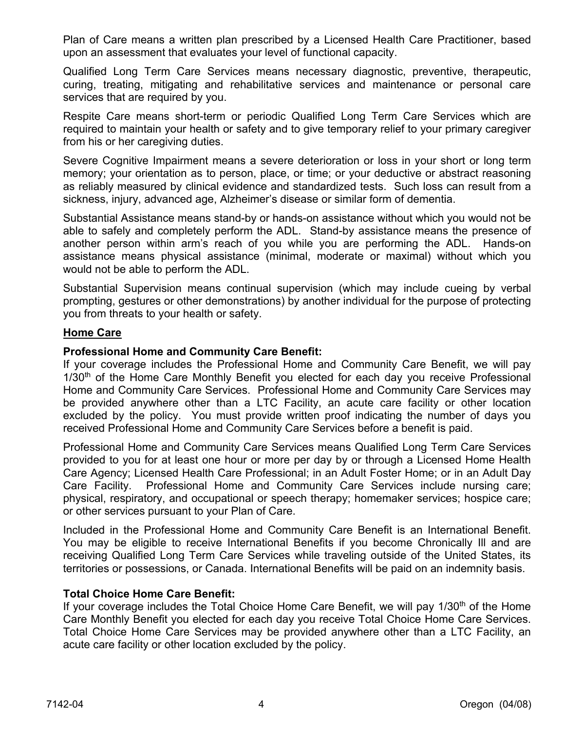Plan of Care means a written plan prescribed by a Licensed Health Care Practitioner, based upon an assessment that evaluates your level of functional capacity.

Qualified Long Term Care Services means necessary diagnostic, preventive, therapeutic, curing, treating, mitigating and rehabilitative services and maintenance or personal care services that are required by you.

Respite Care means short-term or periodic Qualified Long Term Care Services which are required to maintain your health or safety and to give temporary relief to your primary caregiver from his or her caregiving duties.

Severe Cognitive Impairment means a severe deterioration or loss in your short or long term memory; your orientation as to person, place, or time; or your deductive or abstract reasoning as reliably measured by clinical evidence and standardized tests. Such loss can result from a sickness, injury, advanced age, Alzheimer's disease or similar form of dementia.

Substantial Assistance means stand-by or hands-on assistance without which you would not be able to safely and completely perform the ADL. Stand-by assistance means the presence of another person within arm's reach of you while you are performing the ADL. Hands-on assistance means physical assistance (minimal, moderate or maximal) without which you would not be able to perform the ADL.

Substantial Supervision means continual supervision (which may include cueing by verbal prompting, gestures or other demonstrations) by another individual for the purpose of protecting you from threats to your health or safety.

#### **Home Care**

#### **Professional Home and Community Care Benefit:**

If your coverage includes the Professional Home and Community Care Benefit, we will pay 1/30<sup>th</sup> of the Home Care Monthly Benefit you elected for each day you receive Professional Home and Community Care Services. Professional Home and Community Care Services may be provided anywhere other than a LTC Facility, an acute care facility or other location excluded by the policy. You must provide written proof indicating the number of days you received Professional Home and Community Care Services before a benefit is paid.

Professional Home and Community Care Services means Qualified Long Term Care Services provided to you for at least one hour or more per day by or through a Licensed Home Health Care Agency; Licensed Health Care Professional; in an Adult Foster Home; or in an Adult Day Care Facility. Professional Home and Community Care Services include nursing care; physical, respiratory, and occupational or speech therapy; homemaker services; hospice care; or other services pursuant to your Plan of Care.

Included in the Professional Home and Community Care Benefit is an International Benefit. You may be eligible to receive International Benefits if you become Chronically Ill and are receiving Qualified Long Term Care Services while traveling outside of the United States, its territories or possessions, or Canada. International Benefits will be paid on an indemnity basis.

## **Total Choice Home Care Benefit:**

If your coverage includes the Total Choice Home Care Benefit, we will pay  $1/30<sup>th</sup>$  of the Home Care Monthly Benefit you elected for each day you receive Total Choice Home Care Services. Total Choice Home Care Services may be provided anywhere other than a LTC Facility, an acute care facility or other location excluded by the policy.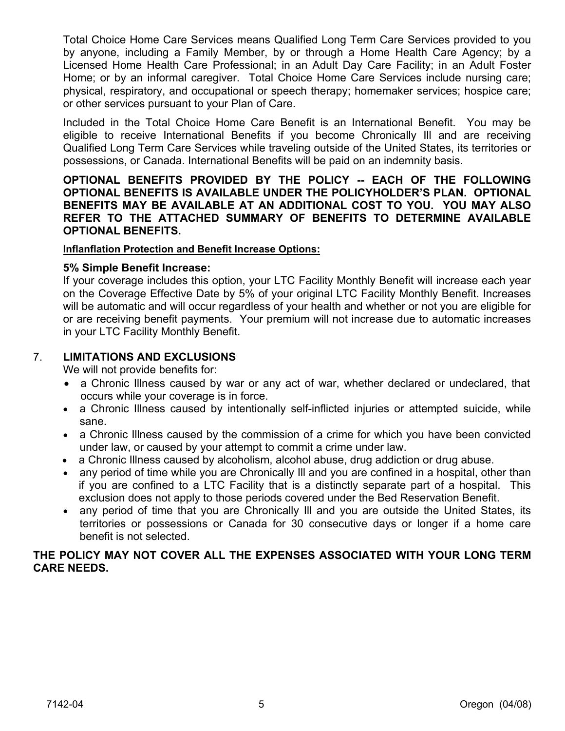Total Choice Home Care Services means Qualified Long Term Care Services provided to you by anyone, including a Family Member, by or through a Home Health Care Agency; by a Licensed Home Health Care Professional; in an Adult Day Care Facility; in an Adult Foster Home; or by an informal caregiver. Total Choice Home Care Services include nursing care; physical, respiratory, and occupational or speech therapy; homemaker services; hospice care; or other services pursuant to your Plan of Care.

Included in the Total Choice Home Care Benefit is an International Benefit. You may be eligible to receive International Benefits if you become Chronically Ill and are receiving Qualified Long Term Care Services while traveling outside of the United States, its territories or possessions, or Canada. International Benefits will be paid on an indemnity basis.

**OPTIONAL BENEFITS PROVIDED BY THE POLICY -- EACH OF THE FOLLOWING OPTIONAL BENEFITS IS AVAILABLE UNDER THE POLICYHOLDER'S PLAN. OPTIONAL BENEFITS MAY BE AVAILABLE AT AN ADDITIONAL COST TO YOU. YOU MAY ALSO REFER TO THE ATTACHED SUMMARY OF BENEFITS TO DETERMINE AVAILABLE OPTIONAL BENEFITS.** 

#### **Inflanflation Protection and Benefit Increase Options:**

#### **5% Simple Benefit Increase:**

If your coverage includes this option, your LTC Facility Monthly Benefit will increase each year on the Coverage Effective Date by 5% of your original LTC Facility Monthly Benefit. Increases will be automatic and will occur regardless of your health and whether or not you are eligible for or are receiving benefit payments. Your premium will not increase due to automatic increases in your LTC Facility Monthly Benefit.

## 7. **LIMITATIONS AND EXCLUSIONS**

We will not provide benefits for:

- a Chronic Illness caused by war or any act of war, whether declared or undeclared, that occurs while your coverage is in force.
- a Chronic Illness caused by intentionally self-inflicted injuries or attempted suicide, while sane.
- a Chronic Illness caused by the commission of a crime for which you have been convicted under law, or caused by your attempt to commit a crime under law.
- a Chronic Illness caused by alcoholism, alcohol abuse, drug addiction or drug abuse.
- any period of time while you are Chronically III and you are confined in a hospital, other than if you are confined to a LTC Facility that is a distinctly separate part of a hospital. This exclusion does not apply to those periods covered under the Bed Reservation Benefit.
- any period of time that you are Chronically Ill and you are outside the United States, its territories or possessions or Canada for 30 consecutive days or longer if a home care benefit is not selected.

#### **THE POLICY MAY NOT COVER ALL THE EXPENSES ASSOCIATED WITH YOUR LONG TERM CARE NEEDS.**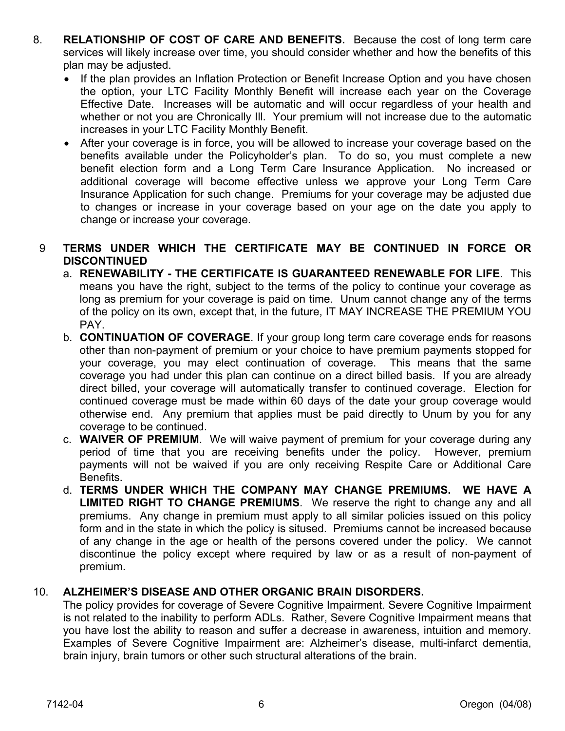- 8. **RELATIONSHIP OF COST OF CARE AND BENEFITS.** Because the cost of long term care services will likely increase over time, you should consider whether and how the benefits of this plan may be adjusted.
	- If the plan provides an Inflation Protection or Benefit Increase Option and you have chosen the option, your LTC Facility Monthly Benefit will increase each year on the Coverage Effective Date. Increases will be automatic and will occur regardless of your health and whether or not you are Chronically Ill. Your premium will not increase due to the automatic increases in your LTC Facility Monthly Benefit.
	- After your coverage is in force, you will be allowed to increase your coverage based on the benefits available under the Policyholder's plan. To do so, you must complete a new benefit election form and a Long Term Care Insurance Application. No increased or additional coverage will become effective unless we approve your Long Term Care Insurance Application for such change. Premiums for your coverage may be adjusted due to changes or increase in your coverage based on your age on the date you apply to change or increase your coverage.

## 9 **TERMS UNDER WHICH THE CERTIFICATE MAY BE CONTINUED IN FORCE OR DISCONTINUED**

- a. **RENEWABILITY THE CERTIFICATE IS GUARANTEED RENEWABLE FOR LIFE**. This means you have the right, subject to the terms of the policy to continue your coverage as long as premium for your coverage is paid on time. Unum cannot change any of the terms of the policy on its own, except that, in the future, IT MAY INCREASE THE PREMIUM YOU PAY.
- b. **CONTINUATION OF COVERAGE**. If your group long term care coverage ends for reasons other than non-payment of premium or your choice to have premium payments stopped for your coverage, you may elect continuation of coverage. This means that the same coverage you had under this plan can continue on a direct billed basis. If you are already direct billed, your coverage will automatically transfer to continued coverage. Election for continued coverage must be made within 60 days of the date your group coverage would otherwise end. Any premium that applies must be paid directly to Unum by you for any coverage to be continued.
- c. **WAIVER OF PREMIUM**. We will waive payment of premium for your coverage during any period of time that you are receiving benefits under the policy. However, premium payments will not be waived if you are only receiving Respite Care or Additional Care Benefits.
- d. **TERMS UNDER WHICH THE COMPANY MAY CHANGE PREMIUMS. WE HAVE A LIMITED RIGHT TO CHANGE PREMIUMS**. We reserve the right to change any and all premiums. Any change in premium must apply to all similar policies issued on this policy form and in the state in which the policy is sitused. Premiums cannot be increased because of any change in the age or health of the persons covered under the policy. We cannot discontinue the policy except where required by law or as a result of non-payment of premium.

## 10. **ALZHEIMER'S DISEASE AND OTHER ORGANIC BRAIN DISORDERS.**

The policy provides for coverage of Severe Cognitive Impairment. Severe Cognitive Impairment is not related to the inability to perform ADLs. Rather, Severe Cognitive Impairment means that you have lost the ability to reason and suffer a decrease in awareness, intuition and memory. Examples of Severe Cognitive Impairment are: Alzheimer's disease, multi-infarct dementia, brain injury, brain tumors or other such structural alterations of the brain.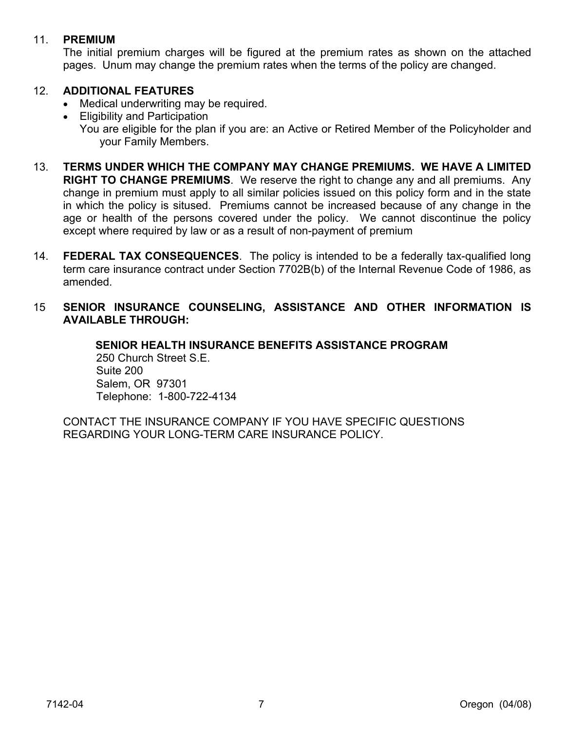#### 11. **PREMIUM**

The initial premium charges will be figured at the premium rates as shown on the attached pages. Unum may change the premium rates when the terms of the policy are changed.

## 12. **ADDITIONAL FEATURES**

- Medical underwriting may be required.
- Eligibility and Participation You are eligible for the plan if you are: an Active or Retired Member of the Policyholder and your Family Members.
- 13. **TERMS UNDER WHICH THE COMPANY MAY CHANGE PREMIUMS. WE HAVE A LIMITED RIGHT TO CHANGE PREMIUMS**. We reserve the right to change any and all premiums. Any change in premium must apply to all similar policies issued on this policy form and in the state in which the policy is sitused. Premiums cannot be increased because of any change in the age or health of the persons covered under the policy. We cannot discontinue the policy except where required by law or as a result of non-payment of premium
- 14. **FEDERAL TAX CONSEQUENCES**. The policy is intended to be a federally tax-qualified long term care insurance contract under Section 7702B(b) of the Internal Revenue Code of 1986, as amended.
- 15 **SENIOR INSURANCE COUNSELING, ASSISTANCE AND OTHER INFORMATION IS AVAILABLE THROUGH:**

**SENIOR HEALTH INSURANCE BENEFITS ASSISTANCE PROGRAM**  250 Church Street S.E. Suite 200 Salem, OR 97301 Telephone: 1-800-722-4134

CONTACT THE INSURANCE COMPANY IF YOU HAVE SPECIFIC QUESTIONS REGARDING YOUR LONG-TERM CARE INSURANCE POLICY.